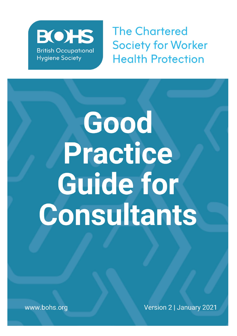

**The Chartered Society for Worker Health Protection** 

# Good Practice **Guide for** Consultants

www.bohs.org

Version 2 | January 2021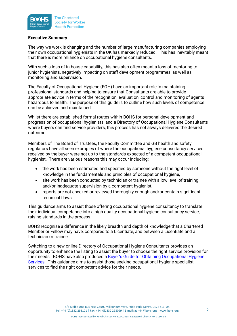

### **Executive Summary**

The way we work is changing and the number of large manufacturing companies employing their own occupational hygienists in the UK has markedly reduced. This has inevitably meant that there is more reliance on occupational hygiene consultants.

With such a loss of in-house capability, this has also often meant a loss of mentoring to junior hygienists, negatively impacting on staff development programmes, as well as monitoring and supervision.

The Faculty of Occupational Hygiene (FOH) have an important role in maintaining professional standards and helping to ensure that Consultants are able to provide appropriate advice in terms of the recognition, evaluation, control and monitoring of agents hazardous to health. The purpose of this guide is to outline how such levels of competence can be achieved and maintained.

Whilst there are established formal routes within BOHS for personal development and progression of occupational hygienists, and a Directory of Occupational Hygiene Consultants where buyers can find service providers, this process has not always delivered the desired outcome.

Members of The Board of Trustees, the Faculty Committee and GB health and safety regulators have all seen examples of where the occupational hygiene consultancy services received by the buyer were not up to the standards expected of a competent occupational hygienist. There are various reasons this may occur including:

- the work has been estimated and specified by someone without the right level of knowledge in the fundamentals and principles of occupational hygiene,
- site work has been conducted by technician or trainee with a low level of training and/or inadequate supervision by a competent hygienist,
- reports are not checked or reviewed thoroughly enough and/or contain significant technical flaws.

This guidance aims to assist those offering occupational hygiene consultancy to translate their individual competence into a high quality occupational hygiene consultancy service, raising standards in the process.

BOHS recognise a difference in the likely breadth and depth of knowledge that a Chartered Member or Fellow may have, compared to a Licentiate, and between a Licentiate and a technician or trainee.

Switching to a new online Directory of Occupational Hygiene Consultants provides an opportunity to enhance the listing to assist the buyer to choose the right service provision for their needs. BOHS have also produced a [Buyer's Guide for Obtaining Occupational Hygiene](https://www.bohs.org/app/uploads/2020/07/BOHS-Buyers-Guide-Sep-19.pdf)  [Services.](https://www.bohs.org/app/uploads/2020/07/BOHS-Buyers-Guide-Sep-19.pdf) This guidance aims to assist those seeking occupational hygiene specialist services to find the right competent advice for their needs.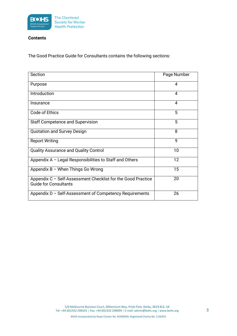

# **Contents**

The Good Practice Guide for Consultants contains the following sections:

| Section                                                                                      | Page Number |
|----------------------------------------------------------------------------------------------|-------------|
| Purpose                                                                                      | 4           |
| Introduction                                                                                 | 4           |
| Insurance                                                                                    | 4           |
| Code of Ethics                                                                               | 5           |
| <b>Staff Competence and Supervision</b>                                                      | 5           |
| <b>Quotation and Survey Design</b>                                                           | 8           |
| <b>Report Writing</b>                                                                        | 9           |
| Quality Assurance and Quality Control                                                        | 10          |
| Appendix $A -$ Legal Responsibilities to Staff and Others                                    | 12          |
| Appendix B - When Things Go Wrong                                                            | 15          |
| Appendix C - Self-Assessment Checklist for the Good Practice<br><b>Guide for Consultants</b> | 20          |
| Appendix D – Self-Assessment of Competency Requirements                                      | 26          |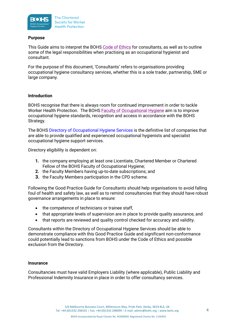

# **Purpose**

This Guide aims to interpret the BOHS [Code of Ethics](https://www.bohs.org/information-guidance/bohs-resources/) for consultants, as well as to outline some of the legal responsibilities when practising as an occupational hygienist and consultant.

For the purpose of this document, 'Consultants' refers to organisations providing occupational hygiene consultancy services, whether this is a sole trader, partnership, SME or large company.

# **Introduction**

BOHS recognise that there is always room for continued improvement in order to tackle Worker Health Protection. The BOHS [Faculty of Occupational Hygiene](http://www.bohs.org/faculties/) aim is to improve occupational hygiene standards, recognition and access in accordance with the BOHS Strategy.

The BOHS [Directory of Occupational Hygiene Services](https://login.bohs.org/BOHS/Membership/2/BOHS/Directory-of-Occupational-Hygiene-Services/DOHSsearch.aspx?) is the definitive list of companies that are able to provide qualified and experienced occupational hygienists and specialist occupational hygiene support services.

Directory eligibility is dependent on:

- **1.** the company employing at least one Licentiate, Chartered Member or Chartered Fellow of the BOHS Faculty of Occupational Hygiene;
- **2.** the Faculty Members having up-to-date subscriptions; and
- **3.** the Faculty Members participation in the CPD scheme.

Following the Good Practice Guide for Consultants should help organisations to avoid falling foul of health and safety law, as well as to remind consultancies that they should have robust governance arrangements in place to ensure:

- the competence of technicians or trainee staff,
- that appropriate levels of supervision are in place to provide quality assurance, and
- that reports are reviewed and quality control checked for accuracy and validity.

Consultants within the Directory of Occupational Hygiene Services should be able to demonstrate compliance with this Good Practice Guide and significant non-conformance could potentially lead to sanctions from BOHS under the Code of Ethics and possible exclusion from the Directory.

### **Insurance**

Consultancies must have valid Employers Liability (where applicable), Public Liability and Professional Indemnity Insurance in place in order to offer consultancy services.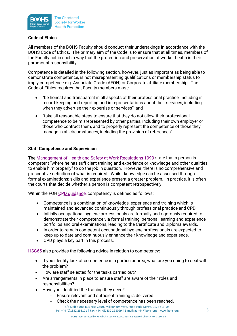

# **Code of Ethics**

All members of the BOHS Faculty should conduct their undertakings in accordance with the BOHS Code of Ethics. The primary aim of the Code is to ensure that at all times, members of the Faculty act in such a way that the protection and preservation of worker health is their paramount responsibility.

Competence is detailed in the following section, however, just as important as being able to demonstrate competence, is not misrepresenting qualifications or membership status to imply competence e.g. Associate Grade (AFOH) or Corporate affiliate membership. The Code of Ethics requires that Faculty members must:

- "be honest and transparent in all aspects of their professional practice, including in record-keeping and reporting and in representations about their services, including when they advertise their expertise or services"; and
- "take all reasonable steps to ensure that they do not allow their professional competence to be misrepresented by other parties, including their own employer or those who contract them, and to properly represent the competence of those they manage in all circumstances, including the provision of references".

# **Staff Competence and Supervision**

The [Management of Health and Safety at Work Regulations 1999](http://www.legislation.gov.uk/uksi/1999/3242/contents/made) state that a person is competent "where he has sufficient training and experience or knowledge and other qualities to enable him properly" to do the job in question. However, there is no comprehensive and prescriptive definition of what is required. Whilst knowledge can be assessed through formal examinations; skills and experience present a greater problem. In practice, it is often the courts that decide whether a person is competent retrospectively.

Within the FOH [CPD guidance,](https://www.bohs.org/membership/cpd/) competency is defined as follows:

- Competence is a combination of knowledge, experience and training which is maintained and advanced continuously through professional practice and CPD.
- Initially occupational hygiene professionals are formally and rigorously required to demonstrate their competence via formal training, personal learning and experience portfolios and oral examinations, leading to the Certificate and Diploma awards.
- In order to remain competent occupational hygiene professionals are expected to keep up to date and continuously enhance their knowledge and experience.
- CPD plays a key part in this process.

[HSG65](http://www.hse.gov.uk/pubns/books/hsg65.htm) also provides the following advice in relation to competency:

- If you identify lack of competence in a particular area, what are you doing to deal with the problem?
- How are staff selected for the tasks carried out?
- Are arrangements in place to ensure staff are aware of their roles and responsibilities?
- Have you identified the training they need?
	- Ensure relevant and sufficient training is delivered.
	- Check the necessary level of competence has been reached.

5/6 Melbourne Business Court, Millennium Way, Pride Park, Derby, DE24 8LZ, UK Tel: +44 (0)1332 298101 | Fax: +44 (0)1332 298099 | E-mail: admin@bohs.org | www.bohs.org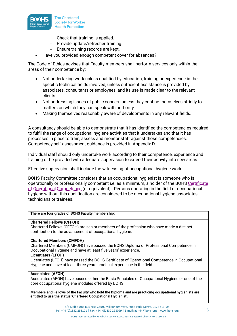

- Check that training is applied.
- Provide update/refresher training.
- Ensure training records are kept.
- Have you provided enough competent cover for absences?

The Code of Ethics advises that Faculty members shall perform services only within the areas of their competence by:

- Not undertaking work unless qualified by education, training or experience in the specific technical fields involved, unless sufficient assistance is provided by associates, consultants or employees, and its use is made clear to the relevant clients.
- Not addressing issues of public concern unless they confine themselves strictly to matters on which they can speak with authority.
- Making themselves reasonably aware of developments in any relevant fields.

A consultancy should be able to demonstrate that it has identified the competencies required to fulfil the range of occupational hygiene activities that it undertakes and that it has processes in place to train, assess and monitor staff against those competencies. Competency self-assessment guidance is provided in Appendix D.

Individual staff should only undertake work according to their competence, experience and training or be provided with adequate supervision to extend their activity into new areas.

Effective supervision shall include the witnessing of occupational hygiene work.

BOHS Faculty Committee considers that an occupational hygienist is someone who is operationally or professionally competent i.e. as a minimum, a holder of the BOHS [Certificate](http://www.bohs.org/membership/benefits-of-membership/professional-development/certificate-in-occupational-hygiene/)  [of Operational Competence](http://www.bohs.org/membership/benefits-of-membership/professional-development/certificate-in-occupational-hygiene/) (or equivalent). Persons operating in the field of occupational hygiene without this qualification are considered to be occupational hygiene associates, technicians or trainees.

### **There are four grades of BOHS Faculty membership:**

### **Chartered Fellows (CFFOH)**

Chartered Fellows (CFFOH) are senior members of the profession who have made a distinct contribution to the advancement of occupational hygiene.

### **Chartered Members (CMFOH)**

Chartered Members (CMFOH) have passed the BOHS Diploma of Professional Competence in Occupational Hygiene and have at least five years' experience.

### **Licentiates (LFOH)**

Licentiates (LFOH) have passed the BOHS Certificate of Operational Competence in Occupational Hygiene and have at least three years practical experience in the field.

### **Associates (AFOH)**

Associates (AFOH) have passed either the Basic Principles of Occupational Hygiene or one of the core occupational hygiene modules offered by BOHS.

**Members and Fellows of the Faculty who hold the Diploma and are practicing occupational hygienists are entitled to use the status 'Chartered Occupational Hygienist'.**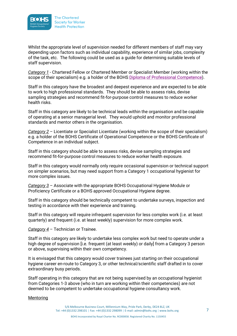

Whilst the appropriate level of supervision needed for different members of staff may vary depending upon factors such as individual capability, experience of similar jobs, complexity of the task, etc. The following could be used as a guide for determining suitable levels of staff supervision.

*Category 1* - Chartered Fellow or Chartered Member or Specialist Member (working within the scope of their specialism) e.g. a holder of the BOHS [Diploma of Professional Competence\)](http://www.bohs.org/membership/benefits-of-membership/professional-development/diploma-in-occupational-hygiene/).

Staff in this category have the broadest and deepest experience and are expected to be able to work to high professional standards. They should be able to assess risks, devise sampling strategies and recommend fit-for-purpose control measures to reduce worker health risks.

Staff in this category are likely to be technical leads within the organisation and be capable of operating at a senior managerial level. They would uphold and monitor professional standards and mentor others in the organisation.

*Category 2* – Licentiate or Specialist Licentiate (working within the scope of their specialism) e.g. a holder of the BOHS Certificate of Operational Competence or the BOHS Certificate of Competence in an individual subject.

Staff in this category should be able to assess risks, devise sampling strategies and recommend fit-for-purpose control measures to reduce worker health exposure.

Staff in this category would normally only require occasional supervision or technical support on simpler scenarios, but may need support from a Category 1 occupational hygienist for more complex issues.

*Category 3* – Associate with the appropriate BOHS Occupational Hygiene Module or Proficiency Certificate or a BOHS approved Occupational Hygiene degree.

Staff in this category should be technically competent to undertake surveys, inspection and testing in accordance with their experience and training.

Staff in this category will require infrequent supervision for less complex work (i.e. at least quarterly) and frequent (i.e. at least weekly) supervision for more complex work.

*Category 4* – Technician or Trainee.

Staff in this category are likely to undertake less complex work but need to operate under a high degree of supervision [i.e. frequent (at least weekly) or daily] from a Category 3 person or above, supervising within their own competency.

It is envisaged that this category would cover trainees just starting on their occupational hygiene career en-route to Category 3, or other technical/scientific staff drafted in to cover extraordinary busy periods.

Staff operating in this category that are not being supervised by an occupational hygienist from Categories 1-3 above (who in turn are working within their competencies) are not deemed to be competent to undertake occupational hygiene consultancy work.

### Mentoring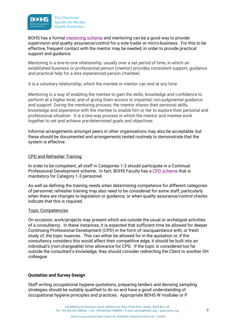

BOHS has a formal [mentoring scheme](https://www.bohs.org/bohs-mentoring-platform/) and mentoring can be a good way to provide supervision and quality assurance/control for a sole trader or micro-business. For this to be effective, frequent contact with the mentor may be needed, in order to provide practical support and guidance.

Mentoring is a one-to-one relationship, usually over a set period of time, in which an established business or professional person (mentor) provides consistent support, guidance and practical help for a less experienced person (mentee).

It is a voluntary relationship, which the mentee or mentor can end at any time.

Mentoring is a way of enabling the mentee to gain the skills, knowledge and confidence to perform at a higher level, and of giving them access to impartial, non-judgmental guidance and support. During the mentoring process, the mentor shares their personal skills, knowledge and experience with the mentee to enable him or her to explore their personal and professional situation. It is a two-way process in which the mentor and mentee work together to set and achieve pre-determined goals and objectives.

Informal arrangements amongst peers in other organisations may also be acceptable, but these should be documented and arrangements tested routinely to demonstrate that the system is effective.

# CPD and Refresher Training

In order to be competent, all staff in Categories 1-3 should participate in a Continual Professional Development scheme. In fact, BOHS Faculty has a [CPD scheme](https://www.bohs.org/membership/cpd/) that is mandatory for Category 1-3 personnel.

As well as defining the training needs when determining competence for different categories of personnel, refresher training may also need to be considered for some staff, particularly when there are changes to legislation or guidance, or when quality assurance/control checks indicate that this is required.

### Topic Competencies

On occasion, work/projects may present which are outside the usual or archetypal activities of a consultancy. In these instances, it is expected that sufficient time be allowed for deeper Continuing Professional Development (CPD) in the form of reacquaintance with, or fresh study of, the topic nuances. This can either be allowed for in the quotation or, if the consultancy considers this would affect their competitive edge, it should be built into an individual's (non-chargeable) time allowance for CPD. If the topic is considered too far outside the consultant's knowledge, they should consider redirecting the Client to another OH colleague.

### **Quotation and Survey Design**

Staff writing occupational hygiene quotations, preparing tenders and devising sampling strategies should be suitably qualified to do so and have a good understanding of occupational hygiene principles and practices. Appropriate BOHS W modules or P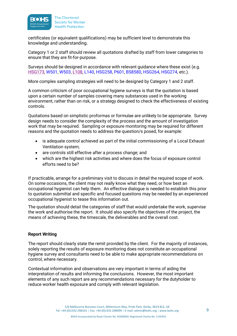

certificates (or equivalent qualifications) may be sufficient level to demonstrate this knowledge and understanding.

Category 1 or 2 staff should review all quotations drafted by staff from lower categories to ensure that they are fit-for-purpose.

Surveys should be designed in accordance with relevant guidance where these exist (e.g. [HSG173,](https://www.hse.gov.uk/pubns/books/hsg173.htm) [W501,](https://www.bohs.org/education/qualifications/detail/w501-measurement-of-hazardous-substances/) [W503,](https://www.bohs.org/education/qualifications/detail/w503-noise-measurement-and-its-effects/) [L108,](https://www.hse.gov.uk/pubns/books/l108.htm) [L140,](https://www.hse.gov.uk/pubns/books/l140.htm) [HSG258,](https://www.hse.gov.uk/pubns/priced/hsg258.pdf) [P601,](https://www.bohs.org/education/qualifications/detail/p601-thorough-examination-and-testing-of-local-exhaust-ventilation-systems/) [BS8580,](https://www.bsigroup.com/globalassets/localfiles/en-gb/standards/bs-8580-1/BS-8580-1-Standard-Flyer/) [HSG264,](https://www.hse.gov.uk/pubns/books/hsg264.htm) [HSG274,](https://www.hse.gov.uk/pubns/books/hsg274.htm) etc.).

More complex sampling strategies will need to be designed by Category 1 and 2 staff.

A common criticism of poor occupational hygiene surveys is that the quotation is based upon a certain number of samples covering many substances used in the working environment, rather than on risk, or a strategy designed to check the effectiveness of existing controls.

Quotations based on simplistic proformas or formulae are unlikely to be appropriate. Survey design needs to consider the complexity of the process and the amount of investigation work that may be required. Sampling or exposure monitoring may be required for different reasons and the quotation needs to address the question/s posed, for example:

- is adequate control achieved as part of the initial commissioning of a Local Exhaust Ventilation system;
- are controls still effective after a process change; and
- which are the highest risk activities and where does the focus of exposure control efforts need to be?

If practicable, arrange for a preliminary visit to discuss in detail the required scope of work. On some occasions, the client may not really know what they need, or how best an occupational hygienist can help them. An effective dialogue is needed to establish this prior to quotation submittal and specific and focused questions may be needed by an experienced occupational hygienist to tease this information out.

The quotation should detail the categories of staff that would undertake the work, supervise the work and authorise the report. It should also specify the objectives of the project, the means of achieving these, the timescale, the deliverables and the overall cost.

# **Report Writing**

The report should clearly state the remit provided by the client. For the majority of instances, solely reporting the results of exposure monitoring does not constitute an occupational hygiene survey and consultants need to be able to make appropriate recommendations on control, where necessary.

Contextual information and observations are very important in terms of aiding the interpretation of results and informing the conclusions. However, the most important elements of any such report are any recommendations necessary for the dutyholder to reduce worker health exposure and comply with relevant legislation.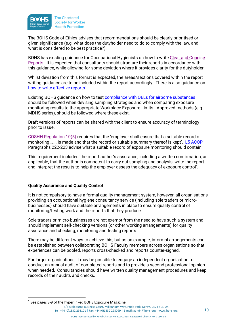

The BOHS Code of Ethics advises that recommendations should be clearly prioritised or given significance (e.g. what does the dutyholder need to do to comply with the law, and what is considered to be best practice?).

BOHS has existing guidance for Occupational Hygienists on how to write [Clear and Concise](http://www.bohs.org/wp-content/uploads/2016/09/BOHS-Guide-to-Report-Writing-Final-Version-18-December-2011.pdf)  [Reports.](http://www.bohs.org/wp-content/uploads/2016/09/BOHS-Guide-to-Report-Writing-Final-Version-18-December-2011.pdf) It is expected that consultants should structure their reports in accordance with this guidance, while allowing for some deviation where it provides clarity for the dutyholder.

Whilst deviation from this format is expected, the areas/sections covered within the report writing guidance are to be included within the report accordingly. There is also guidance on [how to write effective reports](https://www.bohs.org/app/uploads/2020/07/BOHS-Guide-to-Report-Writing-Final-Version-18-December-2011.pdf)<sup>[1](#page-9-0)</sup>.

Existing BOHS guidance on how to test [compliance with OELs for airborne substances](https://www.bohs.org/information-guidance/bohs-resources/) should be followed when devising sampling strategies and when comparing exposure monitoring results to the appropriate Workplace Exposure Limits. Approved methods (e.g. MDHS series), should be followed where these exist.

Draft versions of reports can be shared with the client to ensure accuracy of terminology prior to issue.

[COSHH Regulation 10\(5\)](http://www.legislation.gov.uk/uksi/2002/2677/regulation/10/made) requires that the 'employer shall ensure that a suitable record of monitoring …... is made and that the record or suitable summary thereof is kept'. [L5 ACOP](http://www.hse.gov.uk/pubns/books/l5.htm) Paragraphs 222-223 advise what a suitable record of exposure monitoring should contain.

This requirement includes 'the report author's assurance, including a written confirmation, as applicable, that the author is competent to carry out sampling and analysis, write the report and interpret the results to help the employer assess the adequacy of exposure control'.

# **Quality Assurance and Quality Control**

It is not compulsory to have a formal quality management system, however, all organisations providing an occupational hygiene consultancy service (including sole traders or microbusinesses) should have suitable arrangements in place to ensure quality control of monitoring/testing work and the reports that they produce.

Sole traders or micro-businesses are not exempt from the need to have such a system and should implement self-checking versions (or other working arrangements) for quality assurance and checking, monitoring and testing reports.

There may be different ways to achieve this, but as an example, informal arrangements can be established between collaborating BOHS Faculty members across organisations so that experiences can be pooled, reports cross-checked and reports counter-signed.

For larger organisations, it may be possible to engage an independent organisation to conduct an annual audit of completed reports and to provide a second professional opinion when needed. Consultancies should have written quality management procedures and keep records of their audits and checks.

<span id="page-9-0"></span> $1$  See pages 8-9 of the hyperlinked BOHS Exposure Magazine

<sup>5/6</sup> Melbourne Business Court, Millennium Way, Pride Park, Derby, DE24 8LZ, UK Tel: +44 (0)1332 298101 | Fax: +44 (0)1332 298099 | E-mail: admin@bohs.org | www.bohs.org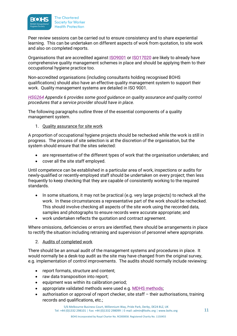

Peer review sessions can be carried out to ensure consistency and to share experiential learning. This can be undertaken on different aspects of work from quotation, to site work and also on completed reports.

Organisations that are accredited against **ISO9001** or **ISO17020** are likely to already have comprehensive quality management schemes in place and should be applying them to their occupational hygiene practice too.

Non-accredited organisations (including consultants holding recognised BOHS qualifications) should also have an effective quality management system to support their work. Quality management systems are detailed in ISO 9001.

*[HSG264](http://www.hse.gov.uk/pubns/books/hsg264.htm) Appendix 6 provides some good guidance on quality assurance and quality control procedures that a service provider should have in place.*

The following paragraphs outline three of the essential components of a quality management system.

# 1. Quality assurance for site work

A proportion of occupational hygiene projects should be rechecked while the work is still in progress. The process of site selection is at the discretion of the organisation, but the system should ensure that the sites selected:

- are representative of the different types of work that the organisation undertakes; and
- cover all the site staff employed.

Until competence can be established in a particular area of work, inspections or audits for newly-qualified or recently-employed staff should be undertaken on every project; then less frequently to keep checking that they are capable of consistently working to the required standards.

- In some situations, it may not be practical (e.g. very large projects) to recheck all the work. In these circumstances a representative part of the work should be rechecked. This should involve checking all aspects of the site work using the recorded data, samples and photographs to ensure records were accurate appropriate; and
- work undertaken reflects the quotation and contract agreement.

Where omissions, deficiencies or errors are identified, there should be arrangements in place to rectify the situation including retraining and supervision of personnel where appropriate.

### 2. Audits of completed work

There should be an annual audit of the management systems and procedures in place. It would normally be a desk-top audit as the site may have changed from the original survey, e.g. implementation of control improvements. The audits should normally include reviewing:

- report formats, structure and content;
- raw data transposition into report;
- equipment was within its calibration period;
- appropriate validated methods were used e.g. [MDHS methods;](http://www.hse.gov.uk/pubns/mdhs/index.htm)
- authorisation or approval of report checker, site staff their authorisations, training records and qualifications, etc.;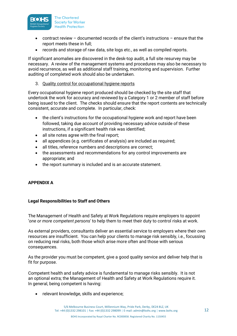

- contract review  $-$  documented records of the client's instructions  $-$  ensure that the report meets these in full;
- records and storage of raw data, site logs etc., as well as compiled reports.

If significant anomalies are discovered in the desk-top audit, a full site resurvey may be necessary. A review of the management systems and procedures may also be necessary to avoid recurrence, as well as additional staff training, monitoring and supervision. Further auditing of completed work should also be undertaken.

3. Quality control for occupational hygiene reports

Every occupational hygiene report produced should be checked by the site staff that undertook the work for accuracy and reviewed by a Category 1 or 2 member of staff before being issued to the client. The checks should ensure that the report contents are technically consistent, accurate and complete. In particular, check:

- the client's instructions for the occupational hygiene work and report have been followed, taking due account of providing necessary advice outside of these instructions, if a significant health risk was identified;
- all site notes agree with the final report;
- all appendices (e.g. certificates of analysis) are included as required;
- all titles, reference numbers and descriptions are correct;
- the assessments and recommendations for any control improvements are appropriate; and
- the report summary is included and is an accurate statement.

# **APPENDIX A**

# **Legal Responsibilities to Staff and Others**

The Management of Health and Safety at Work Regulations require employers to appoint '*one or more competent persons*' to help them to meet their duty to control risks at work.

As external providers, consultants deliver an essential service to employers where their own resources are insufficient. You can help your clients to manage risk sensibly, i.e., focussing on reducing real risks, both those which arise more often and those with serious consequences.

As the provider you must be competent, give a good quality service and deliver help that is fit for purpose.

Competent health and safety advice is fundamental to manage risks sensibly. It is not an optional extra; the Management of Health and Safety at Work Regulations require it. In general, being competent is having:

• relevant knowledge, skills and experience;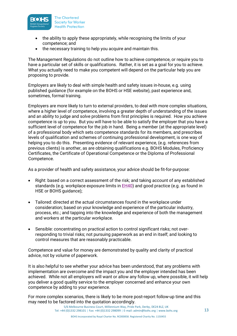

- the ability to apply these appropriately, while recognising the limits of your competence; and
- the necessary training to help you acquire and maintain this.

The Management Regulations do not outline how to achieve competence, or require you to have a particular set of skills or qualifications. Rather, it is set as a goal for you to achieve. What you actually need to make you competent will depend on the particular help you are proposing to provide.

Employers are likely to deal with simple health and safety issues in-house, e.g. using published guidance (for example on the BOHS or HSE website), past experience and, sometimes, formal training.

Employers are more likely to turn to external providers, to deal with more complex situations, where a higher level of competence, involving a greater depth of understanding of the issues and an ability to judge and solve problems from first principles is required. How you achieve competence is up to you. But you will have to be able to satisfy the employer that you have a sufficient level of competence for the job in hand. Being a member (at the appropriate level) of a professional body which sets competence standards for its members, and prescribes levels of qualification and schemes of continuing professional development, is one way of helping you to do this. Presenting evidence of relevant experience, (e.g. references from previous clients) is another, as are obtaining qualifications e.g. BOHS Modules, Proficiency Certificates, the Certificate of Operational Competence or the Diploma of Professional Competence.

As a provider of health and safety assistance, your advice should be fit-for-purpose:

- Right: based on a correct assessment of the risk; and taking account of any established standards (e.g. workplace exposure limits in [EH40\)](http://www.hse.gov.uk/pubns/books/eh40.htm) and good practice (e.g. as found in HSE or BOHS guidance);
- Tailored: directed at the actual circumstances found in the workplace under consideration; based on your knowledge and experience of the particular industry, process, etc.; and tapping into the knowledge and experience of both the management and workers at the particular workplace.
- Sensible: concentrating on practical action to control significant risks; not overresponding to trivial risks; not pursuing paperwork as an end in itself; and looking to control measures that are reasonably practicable.

Competence and value for money are demonstrated by quality and clarity of practical advice, not by volume of paperwork.

It is also helpful to see whether your advice has been understood, that any problems with implementation are overcome and the impact you and the employer intended has been achieved. While not all employers will want or allow any follow up, where possible, it will help you deliver a good quality service to the employer concerned and enhance your own competence by adding to your experience.

For more complex scenarios, there is likely to be more post-report follow-up time and this may need to be factored into the quotation accordingly.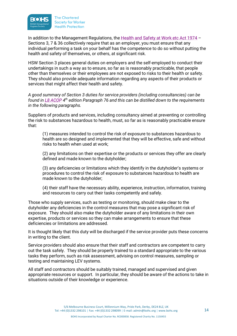

In addition to the Management Regulations, the [Health and Safety at Work etc Act 1974](http://www.legislation.gov.uk/ukpga/1974/37/contents) – Sections 3, 7 & 36 collectively require that as an employer, you must ensure that any individual performing a task on your behalf has the competence to do so without putting the health and safety of themselves, or others, at significant risk.

HSW Section 3 places general duties on employers and the self-employed to conduct their undertakings in such a way as to ensure, so far as is reasonably practicable, that people other than themselves or their employees are not exposed to risks to their health or safety. They should also provide adequate information regarding any aspects of their products or services that might affect their health and safety.

*A good summary of Section 3 duties for service providers (including consultancies) can be found i[n L8 ACOP](http://www.hse.gov.uk/pubns/books/l8.htm) 4th edition Paragraph 76 and this can be distilled down to the requirements in the following paragraphs.*

Suppliers of products and services, including consultancy aimed at preventing or controlling the risk to substances hazardous to health, must, so far as is reasonably practicable ensure that:

(1) measures intended to control the risk of exposure to substances hazardous to health are so designed and implemented that they will be effective, safe and without risks to health when used at work;

(2) any limitations on their expertise or the products or services they offer are clearly defined and made known to the dutyholder;

(3) any deficiencies or limitations which they identify in the dutyholder's systems or procedures to control the risk of exposure to substances hazardous to health are made known to the dutyholder;

(4) their staff have the necessary ability, experience, instruction, information, training and resources to carry out their tasks competently and safely.

Those who supply services, such as testing or monitoring, should make clear to the dutyholder any deficiencies in the control measures that may pose a significant risk of exposure. They should also make the dutyholder aware of any limitations in their own expertise, products or services so they can make arrangements to ensure that these deficiencies or limitations are addressed.

It is thought likely that this duty will be discharged if the service provider puts these concerns in writing to the client.

Service providers should also ensure that their staff and contractors are competent to carry out the task safely. They should be properly trained to a standard appropriate to the various tasks they perform, such as risk assessment, advising on control measures, sampling or testing and maintaining LEV systems.

All staff and contractors should be suitably trained, managed and supervised and given appropriate resources or support. In particular, they should be aware of the actions to take in situations outside of their knowledge or experience.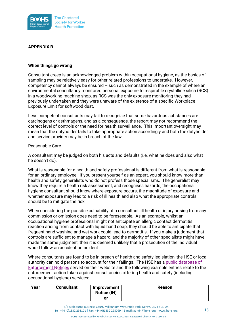

# **APPENDIX B**

### **When things go wrong**

Consultant creep is an acknowledged problem within occupational hygiene, as the basics of sampling may be relatively easy for other related professions to undertake. However, competency cannot always be ensured – such as demonstrated in the example of where an environmental consultancy monitored personal exposure to respirable crystalline silica (RCS) in a woodworking machine shop, as RCS was the only exposure monitoring they had previously undertaken and they were unaware of the existence of a specific Workplace Exposure Limit for softwood dust.

Less competent consultants may fail to recognise that some hazardous substances are carcinogens or asthmagens, and as a consequence, the report may not recommend the correct level of controls or the need for health surveillance. This important oversight may mean that the dutyholder fails to take appropriate action accordingly and both the dutyholder and service provider may be in breach of the law.

# Reasonable Care

A consultant may be judged on both his acts and defaults (i.e. what he does and also what he doesn't do).

What is reasonable for a health and safety professional is different from what is reasonable for an ordinary employee. If you present yourself as an expert, you should know more than health and safety generalists who do not profess those specialisms. The generalist may know they require a health risk assessment, and recognises hazards; the occupational hygiene consultant should know where exposure occurs, the magnitude of exposure and whether exposure may lead to a risk of ill health and also what the appropriate controls should be to mitigate the risk.

When considering the possible culpability of a consultant, ill health or injury arising from any commission or omission does need to be foreseeable. As an example, whilst an occupational hygiene professional might not anticipate an allergic contact dermatitis reaction arising from contact with liquid hand soap, they should be able to anticipate that frequent hand washing and wet work could lead to dermatitis. If you make a judgment that controls are sufficient to manage a hazard, and the majority of other specialists might have made the same judgment, then it is deemed unlikely that a prosecution of the individual would follow an accident or incident.

Where consultants are found to be in breach of health and safety legislation, the HSE or local authority can hold persons to account for their failings. The HSE has a [public database of](https://resources.hse.gov.uk/notices/)  [Enforcement Notices](https://resources.hse.gov.uk/notices/) served on their website and the following example entries relate to the enforcement action taken against consultancies offering health and safety (including occupational hygiene) services:

| Year | <b>Consultant</b> | Improvement<br>Notice (IN) | <b>Reason</b> |
|------|-------------------|----------------------------|---------------|
|      |                   | or                         |               |

5/6 Melbourne Business Court, Millennium Way, Pride Park, Derby, DE24 8LZ, UK Tel: +44 (0)1332 298101 | Fax: +44 (0)1332 298099 | E-mail: admin@bohs.org | www.bohs.org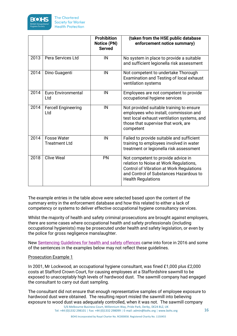

|      |                                            | <b>Prohibition</b><br><b>Notice (PN)</b><br><b>Served</b> | (taken from the HSE public database<br>enforcement notice summary)                                                                                                                                     |
|------|--------------------------------------------|-----------------------------------------------------------|--------------------------------------------------------------------------------------------------------------------------------------------------------------------------------------------------------|
| 2013 | Pera Services Ltd                          | IN                                                        | No system in place to provide a suitable<br>and sufficient legionella risk assessment                                                                                                                  |
| 2014 | Dino Guagenti                              | IN                                                        | Not competent to undertake Thorough<br>Examination and Testing of local exhaust<br>ventilation systems                                                                                                 |
| 2014 | <b>Euro Environmental</b><br>Ltd           | IN                                                        | Employees are not competent to provide<br>occupational hygiene services                                                                                                                                |
| 2014 | <b>Fercell Engineering</b><br>Ltd          | IN                                                        | Not provided suitable training to ensure<br>employees who install, commission and<br>test local exhaust ventilation systems, and<br>those that supervise that work, are<br>competent                   |
| 2014 | <b>Fosse Water</b><br><b>Treatment Ltd</b> | IN                                                        | Failed to provide suitable and sufficient<br>training to employees involved in water<br>treatment or legionella risk assessment                                                                        |
| 2018 | <b>Clive Weal</b>                          | PN                                                        | Not competent to provide advice in<br>relation to Noise at Work Regulations,<br><b>Control of Vibration at Work Regulations</b><br>and Control of Substances Hazardous to<br><b>Health Regulations</b> |

The example entries in the table above were selected based upon the content of the summary entry in the enforcement database and how this related to either a lack of competency or systems to deliver effective occupational hygiene consultancy services.

Whilst the majority of health and safety criminal prosecutions are brought against employers, there are some cases where occupational health and safety professionals (including occupational hygienists) may be prosecuted under health and safety legislation, or even by the police for gross negligence manslaughter.

New [Sentencing Guidelines for health and safety offences](https://www.sentencingcouncil.org.uk/wp-content/uploads/Health-and-Safety-Corporate-Manslaughter-Food-Safety-and-Hygiene-definitive-guideline-Web.pdf) came into force in 2016 and some of the sentences in the examples below may not reflect these guidelines.

Prosecution Example 1

In 2001, Mr Lockwood, an occupational hygiene consultant, was fined £1,000 plus £2,000 costs at Stafford Crown Court, for causing employees at a Staffordshire sawmill to be exposed to unacceptably high levels of hardwood dust. The sawmill company had engaged the consultant to carry out dust sampling.

5/6 Melbourne Business Court, Millennium Way, Pride Park, Derby, DE24 8LZ, UK The consultant did not ensure that enough representative samples of employee exposure to hardwood dust were obtained. The resulting report misled the sawmill into believing exposure to wood dust was adequately controlled, when it was not. The sawmill company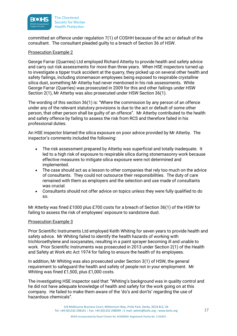

committed an offence under regulation 7(1) of COSHH because of the act or default of the consultant. The consultant pleaded guilty to a breach of Section 36 of HSW.

# Prosecution Example 2

George Farrar (Quarries) Ltd employed Richard Atterby to provide health and safety advice and carry out risk assessments for more than three years. When HSE inspectors turned up to investigate a tipper truck accident at the quarry, they picked up on several other health and safety failings, including stonemason employees being exposed to respirable crystalline silica dust, something Mr Atterby had never mentioned in his risk assessments. While George Farrar (Quarries) was prosecuted in 2009 for this and other failings under HSW Section 2(1), Mr Atterby was also prosecuted under HSW Section 36(1).

The wording of this section 36(1) is: "Where the commission by any person of an offence under any of the relevant statutory provisions is due to the act or default of some other person, that other person shall be guilty of an offence". Mr Atterby contributed to the health and safety offence by failing to assess the risk from RCS and therefore failed in his professional duties.

An HSE inspector blamed the silica exposure on poor advice provided by Mr Atterby. The inspector's comments included the following:

- The risk assessment prepared by Atterby was superficial and totally inadequate. It led to a high risk of exposure to respirable silica during stonemasonry work because effective measures to mitigate silica exposure were not determined and implemented.
- The case should act as a lesson to other companies that rely too much on the advice of consultants. They could not outsource their responsibilities. The duty of care remained with them as employers and the selection and use made of consultants was crucial.
- Consultants should not offer advice on topics unless they were fully qualified to do so.

Mr Atterby was fined £1000 plus £700 costs for a breach of Section 36(1) of the HSW for failing to assess the risk of employees' exposure to sandstone dust.

### Prosecution Example 3

Prior Scientific Instruments Ltd employed Keith Whiting for seven years to provide health and safety advice. Mr Whiting failed to identify the health hazards of working with trichloroethylene and isocyanates, resulting in a paint sprayer becoming ill and unable to work. Prior Scientific Instruments was prosecuted in 2013 under Section 2(1) of the Health and Safety at Work etc Act 1974 for failing to ensure the health of its employees.

In addition, Mr Whiting was also prosecuted under Section 3(1) of HSW, the general requirement to safeguard the health and safety of people not in your employment. Mr Whiting was fined £1,500, plus £1,000 costs.

The investigating HSE inspector said that: "Whiting's background was in quality control and he did not have adequate knowledge of health and safety for the work going on at this company. He failed to make them aware of the 'do's and don'ts' regarding the use of hazardous chemicals".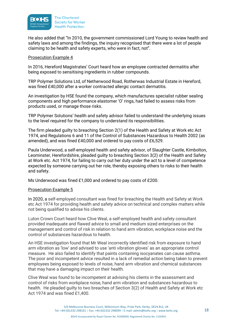

He also added that "In 2010, the government commissioned Lord Young to review health and safety laws and among the findings, the inquiry recognised that there were a lot of people claiming to be health and safety experts, who were in fact, not".

### Prosecution Example 4

In 2016, Hereford Magistrates' Court heard how an employee contracted dermatitis after being exposed to sensitising ingredients in rubber compounds.

TRP Polymer Solutions Ltd, of Netherwood Road, Rotherwas Industrial Estate in Hereford, was fined £40,000 after a worker contracted allergic contact dermatitis.

An investigation by HSE found the company, which manufactures specialist rubber sealing components and high performance elastomer 'O' rings, had failed to assess risks from products used, or manage those risks.

TRP Polymer Solutions' health and safety advisor failed to understand the underlying issues to the level required for the company to understand its responsibilities.

The firm pleaded guilty to breaching Section 2(1) of the Health and Safety at Work etc Act 1974, and Regulations 6 and 11 of the Control of Substances Hazardous to Health 2002 (as amended), and was fined £40,000 and ordered to pay costs of £6,529.

Paula Underwood, a self-employed health and safety advisor, of Slaughter Castle, Kimbolton, Leominster, Herefordshire, pleaded guilty to breaching Section 3(2) of the Health and Safety at Work etc. Act 1974, for failing to carry out her duty under the act to a level of competence expected by someone carrying out her role, thereby exposing others to risks to their health and safety.

Ms Underwood was fined £1,000 and ordered to pay costs of £200.

# Prosecution Example 5

In 2020, a self-employed consultant was fined for breaching the Health and Safety at Work etc Act 1974 for providing health and safety advice on technical and complex matters while not being qualified to advise his clients.

Luton Crown Court heard how Clive Weal, a self-employed health and safety consultant provided inadequate and flawed advice to small and medium sized enterprises on the management and control of risk in relation to hand arm vibration, workplace noise and the control of substances hazardous to health.

An HSE investigation found that Mr Weal incorrectly identified risk from exposure to hand arm vibration as 'low' and advised to use 'anti vibration gloves' as an appropriate control measure. He also failed to identify that paints containing isocyanates can cause asthma. The poor and incompetent advice resulted in a lack of remedial action being taken to prevent employees being exposed to levels of noise, hand arm vibration and chemical substances that may have a damaging impact on their health.

Clive Weal was found to be incompetent at advising his clients in the assessment and control of risks from workplace noise, hand arm vibration and substances hazardous to health. He pleaded guilty to two breaches of Section 3(2) of Health and Safety at Work etc Act 1974 and was fined £1,400.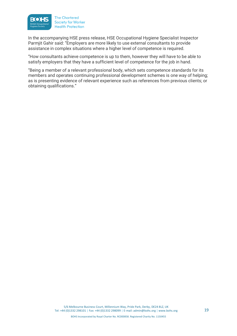

In the accompanying HSE press release, HSE Occupational Hygiene Specialist Inspector Parmjit Gahir said: "Employers are more likely to use external consultants to provide assistance in complex situations where a higher level of competence is required.

"How consultants achieve competence is up to them, however they will have to be able to satisfy employers that they have a sufficient level of competence for the job in hand.

"Being a member of a relevant professional body, which sets competence standards for its members and operates continuing professional development schemes is one way of helping; as is presenting evidence of relevant experience such as references from previous clients; or obtaining qualifications."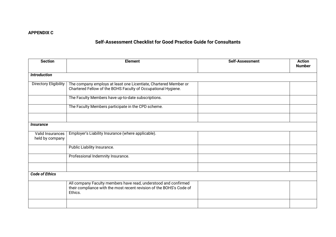# **APPENDIX C**

# **Self-Assessment Checklist for Good Practice Guide for Consultants**

| <b>Section</b>                      | <b>Element</b>                                                                                                                                     | <b>Self-Assessment</b> | <b>Action</b><br><b>Number</b> |
|-------------------------------------|----------------------------------------------------------------------------------------------------------------------------------------------------|------------------------|--------------------------------|
| <b>Introduction</b>                 |                                                                                                                                                    |                        |                                |
| <b>Directory Eligibility</b>        | The company employs at least one Licentiate, Chartered Member or<br>Chartered Fellow of the BOHS Faculty of Occupational Hygiene.                  |                        |                                |
|                                     | The Faculty Members have up-to-date subscriptions.                                                                                                 |                        |                                |
|                                     | The Faculty Members participate in the CPD scheme.                                                                                                 |                        |                                |
|                                     |                                                                                                                                                    |                        |                                |
| <i><b>Insurance</b></i>             |                                                                                                                                                    |                        |                                |
| Valid Insurances<br>held by company | Employer's Liability Insurance (where applicable).                                                                                                 |                        |                                |
|                                     | Public Liability Insurance.                                                                                                                        |                        |                                |
|                                     | Professional Indemnity Insurance.                                                                                                                  |                        |                                |
|                                     |                                                                                                                                                    |                        |                                |
| <b>Code of Ethics</b>               |                                                                                                                                                    |                        |                                |
|                                     | All company Faculty members have read, understood and confirmed<br>their compliance with the most recent revision of the BOHS's Code of<br>Ethics. |                        |                                |
|                                     |                                                                                                                                                    |                        |                                |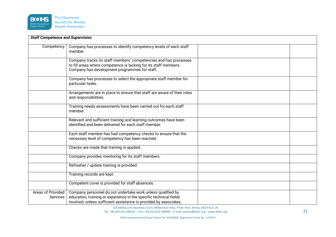

| <b>Staff Competence and Supervision</b> |                                                                                                                                                                                                        |  |
|-----------------------------------------|--------------------------------------------------------------------------------------------------------------------------------------------------------------------------------------------------------|--|
| Competency                              | Company has processes to identify competency levels of each staff<br>member.                                                                                                                           |  |
|                                         | Company tracks its staff members' competencies and has processes<br>to fill areas where competence is lacking for its staff members.<br>Company has development programmes for staff.                  |  |
|                                         | Company has processes to select the appropriate staff member for<br>particular tasks.                                                                                                                  |  |
|                                         | Arrangements are in place to ensure that staff are aware of their roles<br>and responsibilities.                                                                                                       |  |
|                                         | Training needs assessments have been carried out for each staff<br>member.                                                                                                                             |  |
|                                         | Relevant and sufficient training and learning outcomes have been<br>identified and been delivered for each staff member.                                                                               |  |
|                                         | Each staff member has had competency checks to ensure that the<br>necessary level of competency has been reached.                                                                                      |  |
|                                         | Checks are made that training is applied.                                                                                                                                                              |  |
|                                         | Company provides mentoring for its staff members.                                                                                                                                                      |  |
|                                         | Refresher / update training is provided.                                                                                                                                                               |  |
|                                         | Training records are kept.                                                                                                                                                                             |  |
|                                         | Competent cover is provided for staff absences.                                                                                                                                                        |  |
| Areas of Provided<br>Services           | Company personnel do not undertake work unless qualified by<br>education, training or experience in the specific technical fields<br>involved, unless sufficient assistance is provided by associates, |  |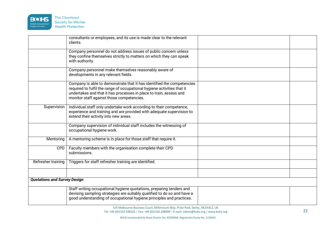

|                                     | consultants or employees, and its use is made clear to the relevant<br>clients                                                                                                                                                                                       |  |
|-------------------------------------|----------------------------------------------------------------------------------------------------------------------------------------------------------------------------------------------------------------------------------------------------------------------|--|
|                                     | Company personnel do not address issues of public concern unless<br>they confine themselves strictly to matters on which they can speak<br>with authority.                                                                                                           |  |
|                                     | Company personnel make themselves reasonably aware of<br>developments in any relevant fields.                                                                                                                                                                        |  |
|                                     | Company is able to demonstrate that it has identified the competencies<br>required to fulfil the range of occupational hygiene activities that it<br>undertakes and that it has processes in place to train, assess and<br>monitor staff against those competencies. |  |
| Supervision                         | Individual staff only undertake work according to their competence,<br>experience and training and are provided with adequate supervision to<br>extend their activity into new areas.                                                                                |  |
|                                     | Company supervision of individual staff includes the witnessing of<br>occupational hygiene work.                                                                                                                                                                     |  |
| Mentoring                           | A mentoring scheme is in place for those staff that require it.                                                                                                                                                                                                      |  |
| CPD                                 | Faculty members with the organisation complete their CPD<br>submissions.                                                                                                                                                                                             |  |
| Refresher training                  | Triggers for staff refresher training are identified.                                                                                                                                                                                                                |  |
|                                     |                                                                                                                                                                                                                                                                      |  |
| <b>Quotations and Survey Design</b> |                                                                                                                                                                                                                                                                      |  |
|                                     | Staff writing occupational hygiene quotations, preparing tenders and<br>devising sampling strategies are suitably qualified to do so and have a<br>good understanding of occupational hygiene principles and practices.                                              |  |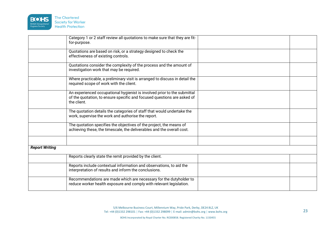

| for-purpose.                                            | Category 1 or 2 staff review all quotations to make sure that they are fit-                                                                         |  |
|---------------------------------------------------------|-----------------------------------------------------------------------------------------------------------------------------------------------------|--|
| effectiveness of existing controls.                     | Quotations are based on risk, or a strategy designed to check the                                                                                   |  |
| investigation work that may be required.                | Quotations consider the complexity of the process and the amount of                                                                                 |  |
| required scope of work with the client.                 | Where practicable, a preliminary visit is arranged to discuss in detail the                                                                         |  |
| the client.                                             | An experienced occupational hygienist is involved prior to the submittal<br>of the quotation, to ensure specific and focused questions are asked of |  |
| work, supervise the work and authorise the report.      | The quotation details the categories of staff that would undertake the                                                                              |  |
|                                                         | The quotation specifies the objectives of the project, the means of<br>achieving these, the timescale, the deliverables and the overall cost.       |  |
|                                                         |                                                                                                                                                     |  |
| <b>Report Writing</b>                                   |                                                                                                                                                     |  |
| Reports clearly state the remit provided by the client. |                                                                                                                                                     |  |
| interpretation of results and inform the conclusions.   | Reports include contextual information and observations, to aid the                                                                                 |  |
|                                                         | Recommendations are made which are necessary for the dutyholder to<br>reduce worker health exposure and comply with relevant legislation.           |  |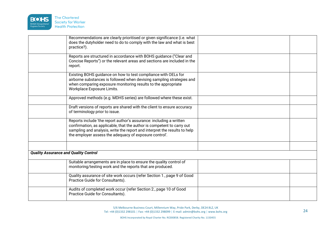

|                                              | Recommendations are clearly prioritised or given significance (i.e. what<br>does the dutyholder need to do to comply with the law and what is best<br>practice?).                                                                                                                    |  |
|----------------------------------------------|--------------------------------------------------------------------------------------------------------------------------------------------------------------------------------------------------------------------------------------------------------------------------------------|--|
|                                              | Reports are structured in accordance with BOHS guidance ("Clear and<br>Concise Reports") or the relevant areas and sections are included in the<br>report.                                                                                                                           |  |
|                                              | Existing BOHS guidance on how to test compliance with OELs for<br>airborne substances is followed when devising sampling strategies and<br>when comparing exposure monitoring results to the appropriate<br>Workplace Exposure Limits.                                               |  |
|                                              | Approved methods (e.g. MDHS series) are followed where these exist.                                                                                                                                                                                                                  |  |
|                                              | Draft versions of reports are shared with the client to ensure accuracy<br>of terminology prior to issue.                                                                                                                                                                            |  |
|                                              | Reports include 'the report author's assurance: including a written<br>confirmation, as applicable, that the author is competent to carry out<br>sampling and analysis, write the report and interpret the results to help<br>the employer assess the adequacy of exposure control'. |  |
|                                              |                                                                                                                                                                                                                                                                                      |  |
| <b>Quality Assurance and Quality Control</b> |                                                                                                                                                                                                                                                                                      |  |
|                                              | Suitable arrangements are in place to ensure the quality control of<br>monitoring/testing work and the reports that are produced.                                                                                                                                                    |  |
|                                              | Quality assurance of site work occurs (refer Section 1., page 9 of Good<br>Practice Guide for Consultants).                                                                                                                                                                          |  |
|                                              | Audits of completed work occur (refer Section 2., page 10 of Good<br>Practice Guide for Consultants).                                                                                                                                                                                |  |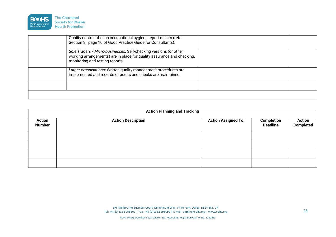

| Quality control of each occupational hygiene report occurs (refer<br>Section 3., page 10 of Good Practice Guide for Consultants).                                              |  |
|--------------------------------------------------------------------------------------------------------------------------------------------------------------------------------|--|
| Sole Traders / Micro-businesses: Self-checking versions (or other<br>working arrangements) are in place for quality assurance and checking,<br>monitoring and testing reports. |  |
| Larger organisations: Written quality management procedures are<br>implemented and records of audits and checks are maintained.                                                |  |
|                                                                                                                                                                                |  |
|                                                                                                                                                                                |  |

| <b>Action Planning and Tracking</b> |                           |                            |                                      |                            |
|-------------------------------------|---------------------------|----------------------------|--------------------------------------|----------------------------|
| <b>Action</b><br><b>Number</b>      | <b>Action Description</b> | <b>Action Assigned To:</b> | <b>Completion</b><br><b>Deadline</b> | <b>Action</b><br>Completed |
|                                     |                           |                            |                                      |                            |
|                                     |                           |                            |                                      |                            |
|                                     |                           |                            |                                      |                            |
|                                     |                           |                            |                                      |                            |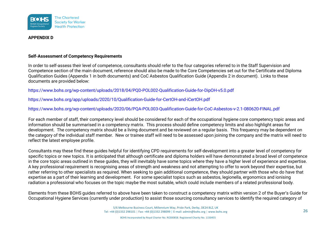

# **APPENDIX D**

# **Self-Assessment of Competency Requirements**

In order to self-assess their level of competence, consultants should refer to the four categories referred to in the Staff Supervision and Competence section of the main document, reference should also be made to the Core Competencies set out for the Certificate and Diploma Qualification Guides (Appendix 1 in both documents) and CoC Asbestos Qualification Guide (Appendix 2 in document). Links to these documents are provided below:

[https://www.bohs.org/wp-content/uploads/2018/04/PQD-POL002-Qualification-Guide-for-DipOH-v5.0.pdf](https://www.bohs.org/app/uploads/2020/10/Qualification-Guide-for-DipOH.pdf)

<https://www.bohs.org/app/uploads/2020/10/Qualification-Guide-for-CertOH-and-iCertOH.pdf>

[https://www.bohs.org/wp-content/uploads/2020/06/PQA-POL003-Qualification-Guide-for-CoC-Asbestos-v-2.1-080620-FINAL.pdf](https://www.bohs.org/app/uploads/2020/10/PQA-POL003-Qualification-Guide-for-CoC-Asbestos-v2.0-FINAL.pdf)

For each member of staff, their competency level should be considered for each of the occupational hygiene core competency topic areas and information should be summarised in a competency matrix. This process should define competency limits and also highlight areas for development. The competency matrix should be a living document and be reviewed on a regular basis. This frequency may be dependent on the category of the individual staff member. New or trainee staff will need to be assessed upon joining the company and the matrix will need to reflect the latest employee profile.

Consultants may these find these guides helpful for identifying CPD requirements for self-development into a greater level of competency for specific topics or new topics. It is anticipated that although certificate and diploma holders will have demonstrated a broad level of competence in the core topic areas outlined in these guides, they will inevitably have some topics where they have a higher level of experience and expertise. A key professional requirement is recognising areas of strength and weakness and not attempting to offer to work beyond their expertise, but rather referring to other specialists as required. When seeking to gain additional competence, they should partner with those who do have that expertise as a part of their learning and development. For some specialist topics such as asbestos, legionella, ergonomics and ionising radiation a professional who focuses on the topic maybe the most suitable, which could include members of a related professional body.

Elements from these BOHS guides referred to above have been taken to construct a competency matrix within version 2 of the Buyer's Guide for Occupational Hygiene Services (currently under production) to assist those sourcing consultancy services to identify the required category of